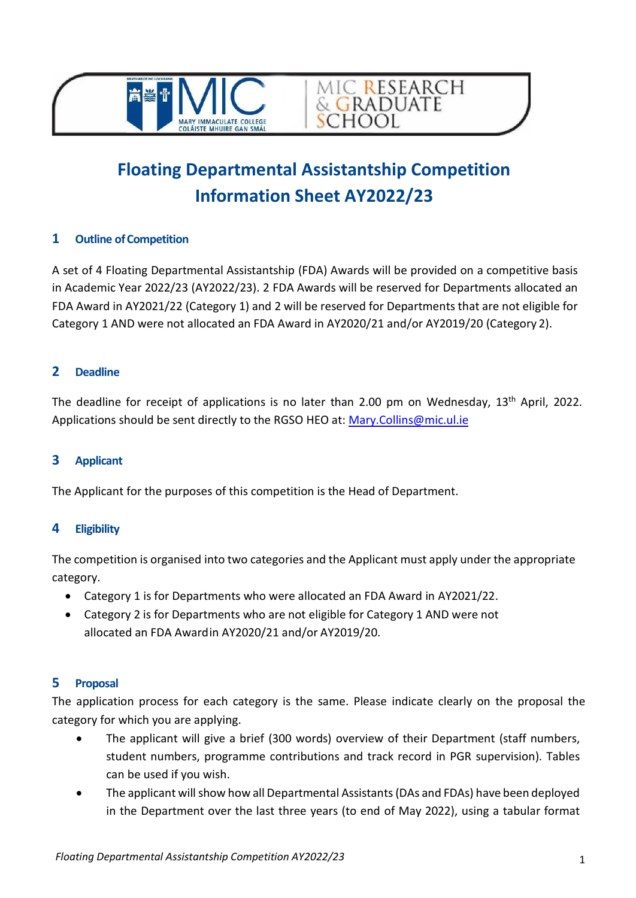



MIC RESEARCH<br>& GRADUATE

**SCHOOL** 

## **1 Outline of Competition**

A set of 4 Floating Departmental Assistantship (FDA) Awards will be provided on a competitive basis in Academic Year 2022/23 (AY2022/23). 2 FDA Awards will be reserved for Departments allocated an FDA Award in AY2021/22 (Category 1) and 2 will be reserved for Departments that are not eligible for Category 1 AND were not allocated an FDA Award in AY2020/21 and/or AY2019/20 (Category 2).

### **2 Deadline**

The deadline for receipt of applications is no later than 2.00 pm on Wednesday, 13<sup>th</sup> April, 2022. Applications should be sent directly to the [RGSO HEO at: Mary.Collins@mic.ul.ie](mailto:Mary.Collins@mic.ul.ie)

# **3 Applicant**

The Applicant for the purposes of this competition is the Head of Department.

### **4 Eligibility**

The competition is organised into two categories and the Applicant must apply under the appropriate category.

- Category 1 is for Departments who were allocated an FDA Award in AY2021/22.
- Category 2 is for Departments who are not eligible for Category 1 AND were not allocated an FDA Awardin AY2020/21 and/or AY2019/20.

### **5 Proposal**

The application process for each category is the same. Please indicate clearly on the proposal the category for which you are applying.

- The applicant will give a brief (300 words) overview of their Department (staff numbers, student numbers, programme contributions and track record in PGR supervision). Tables can be used if you wish.
- The applicant will show how all Departmental Assistants (DAs and FDAs) have been deployed in the Department over the last three years (to end of May 2022), using a tabular format